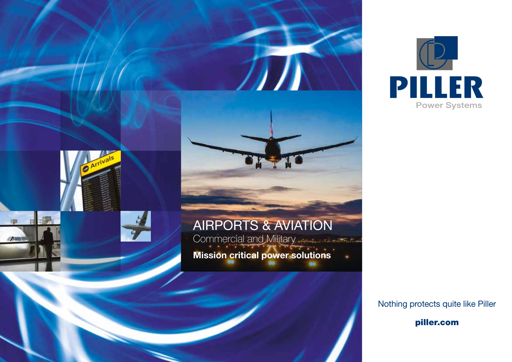



Nothing protects quite like Piller

piller.com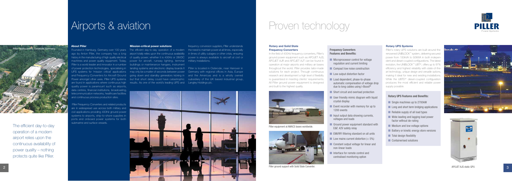

## Airports & aviation

#### About Piller

ago by Anton Piller, the company has a long airport totally relies upon the continuous availability in times of utility outages or other crisis, ensuring machines and power quality equipment. Today, power for aircraft, runway lighting, terminal military installations. Piller is a world leader and innovator in a number buildings or maintenance hangars, instrument are found in applications where continuous high aresults. As one of the world's leading UPS and a Langley Holdings plc. quality power is paramount such as airports, data centres, financial institutions, broadcasting, telecommunication networks, healthcare facilities and continuous process production sites.

 Piller Frequency Converters and related products are in widespread use across both military and civil applications providing 400Hz ground power systems to airports, ship-to-shore supplies in ports and onboard power systems for both submarine and surface vessels.

## Proven technology



### Rotary and Solid State Frequency Converters

In the field of 400Hz frequency converters, Piller's ground power equipment such as APOJET AJS, APOJET AJR and APOJET AJT can be found in operation at major airports and military air bases throughout the world. Piller provides tailor-made solutions for each project. Through continuous research and development a high level of flexibility is guaranteed in meeting clients' requirements. All Piller ground power equipment is designed and built to the highest quality.

### Rotary UPS Systems

- **Nicroprocessor control for voltage** regulation and current limiting
- **n** Compact low noise construction
- **n** Low output distortion factor
- **n** Load dependent, phase-to-phase automatic compensation of voltage drop due to long cables using I-Boost®
- Short circuit and overload protection
- $\blacksquare$  User friendly mimic diagram with liquid crystal display
- $\blacksquare$  Event recorder with memory for up to 1200 events
- $\blacksquare$  Input output data showing currents, voltages and loads
- $\blacksquare$  Ground power equipment standard with E&F, 42V safety relay
- **N** EMI/RFI filtering standard on all units
- $\blacksquare$  Low mains current distortion ( $<$  5%)
- Constant output voltage for linear and non-linear loads
- n Interface for remote control and centralised monitoring option

Piller's rotary UPS solutions are built around the renowned UNIBLOCK™ system, delivering secured power from 150kVA to 50MVA in both independent and diesel-coupled configurations. The latest evolution, the UNIBLOCK™ UBT+, offers up to 97% efficiency and highest reliability with state-of-theart technology, unique design and versatile options, making it ideal for new and existing installations. While the UBTD+ diesel-coupled configuration produces the most efficient and reliable power supply possible.

Founded in Hamburg, Germany over 100 years  $\;\;\;$  The efficient day-to-day operation of a modern  $\;\;\;$  the need to maintain power at all times, especially history in the manufacturing of high quality electrical of quality power; whether it is 400Hz or 28VDC opwer is always available to aircraft at civil or frequency conversion suppliers, Piller understands

of power protection technologies, specialising in blanding systems and electronic display boards It Piller is located in Osterode, near Hanover in UPS systems for 'mission critical' applications may only be a matter of seconds between power Germany with regional offices in Asia, Europe and Frequency Converters for Aircraft Ground yoing down and standby generators kicking in wand the Americas and is a wholly owned Power amongst other uses. Piller UPS systems but that short delay could have catastrophic subsidiary of the UK based industrial group,

#### Mission-critical power solutions

### **Frequency Converters Features and Benefits:**

### **Rotary UPS Features and Benefits:**

- **n** Single machines up to 2700kW
- $\blacksquare$  Long and short term bridging applications
- $\blacksquare$  Reliable supply of all load types
- **Now Wide leading and lagging load power** factor without de-rating
- $\blacksquare$  Medium and low voltage options
- **n** Battery or kinetic energy store versions
- $\blacksquare$  Total design flexibility
- n Containerised solutions







Piller equipment at AWACS bases worldwide.

Piller ground support with Solid State Converter.

The efficient day-to-day operation of a modern airport relies upon the continuous availability of power quality – nothing protects quite like Piller.



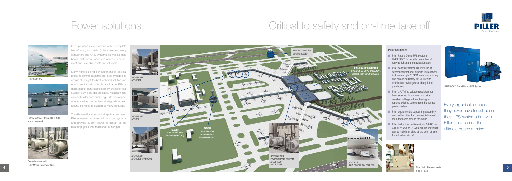## Power solutions



Many varieties and configurations of special problem solving systems are also available to ensure clients get the best technical solution and **APOHOIST** equipment for their particular application. Piller is dedicated to client satisfaction by providing total support during the design stage, installation and especially after commissioning. Piller has a team of many trained technicians strategically located around the world to support its many products.

> Piller Solid State converter APOJET AJS.

The diagram illustrates typical applications using Piller equipment to protect critical airport systems and provide quality power to aircraft at the boarding gates and maintenance hangers.

# Critical to safety and on-time take off





Piller Gate Box.



Rotary outdoor GPU APOJET AJR apron mounted.



Central system with Piller Motor-Generator Sets.



UNIBLOCK™ Diesel Rotary UPS System.

- **n** Piller Rotary Diesel UPS systems UNIBLOCK™ for air side protection of runway lighting and navigation aids.
- $\blacksquare$  Piller central systems are installed at several international airports. Installations include multiple 315kVA auto load sharing and paralleled Rotary APOJETS with distribution switchgear and regulated gate boxes.
- n Piller's AJT (line voltage regulator) has been selected by airlines to provide constant voltage without having to replace existing cables from the central power system.
- $\blacksquare$  Piller equipment is supporting assembly and test facilities for commercial aircraft manufacturers around the world.
- n Piller builds low profile units in 28VDC as well as 20kVA to 315kVA 400Hz units that can be mobile or sited at the point of use for individual aircraft.



### **Piller Solutions:**



Every organisation hopes they never have to call upon their UPS systems but with Piller there comes the ultimate peace of mind.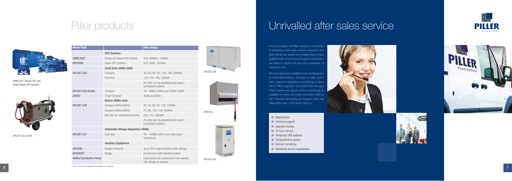## Piller products



| <b>Model/Type</b>               |                                           | <b>kVA ratings</b>                                                 |
|---------------------------------|-------------------------------------------|--------------------------------------------------------------------|
|                                 | <b>UPS Systems</b>                        |                                                                    |
| <b>UNIBLOCK™</b>                | Rotary and Diesel UPS System              | from 400kVA - 50MVA                                                |
| <b>APOSTAR</b>                  | <b>Static UPS Systems</b>                 | from 3kVA - 400kVA                                                 |
|                                 | <b>Solid State 400Hz Units</b>            |                                                                    |
| <b>APOJET AJS</b>               | Compact                                   | 40, 60, 90 120, 150, 180, 200kVA                                   |
|                                 | <b>Flat Pack</b>                          | 120, 150, 180, 200kVA                                              |
|                                 |                                           | All units can be paralleled and used in<br>centralised systems     |
| <b>APOJET AJS Combi</b>         | Compact                                   | 40 - 90kVA 400Hz and 28VDC /600A                                   |
| 28VDC                           | Small Compact                             | 400A and 600A                                                      |
|                                 | <b>Rotary 400Hz units</b>                 |                                                                    |
| <b>APOJET AJR</b>               | Compact (50Hz/400Hz)                      | 20, 40, 60, 90, 120, 150kVA                                        |
|                                 | Compact (60Hz/400Hz)                      | 75, 90, 125, 150, 200kVA                                           |
|                                 | MG Sets for centralised systems           | 250, 315, 380kVA                                                   |
|                                 |                                           | All units can be paralleled and used in<br>centralised systems     |
|                                 | <b>Automatic Voltage Regulators 400Hz</b> |                                                                    |
| <b>APOJET AJT</b>               | Gate-Box                                  | 90 - 150kVA with or w/o step-down<br>transformer                   |
|                                 | <b>Auxiliary Equipment</b>                |                                                                    |
| <b>APOCOIL</b>                  | Bridge or Ground                          | up to 28m single jacketed cable storage                            |
| <b>APOHOIST</b>                 | <b>Bridge</b>                             | Economical cable handling system                                   |
| <b>400Hz Distribution Panel</b> |                                           | Engineered and customised multi-outputs,<br>kVA ratings on request |

Other units and equipment available on request.

# Unrivalled after sales service



Across the globe the Piller network is committed to delivering world-class service resources and Piller clients can always be confident that a highly qualified team of service and support technicians are there to uphold the very best standards of customer care.

Services range from installation and commissioning to predictive analysis, emergency calls, spare parts, planned maintenance and training. A direct link to Piller engineers and technicians through Piller's advanced digital control technology is available on every unit (rotary and static) offering 24/7 Remote Monitoring and Support with total diagnostics and 1,200 event memory.

- **n** Maintenance
- n Technical support
- n Operator training
- **n** 24 hour call-out
- **n** Temporary UPS systems
- **n** Comprehensive spares
- **n** Remote monitoring
- **N** Worldwide service organisation







APOJET AJS Combi.











APOJET AJS.

UNIBLOCK™ Rotary UPS and Diesel Rotary UPS systems.